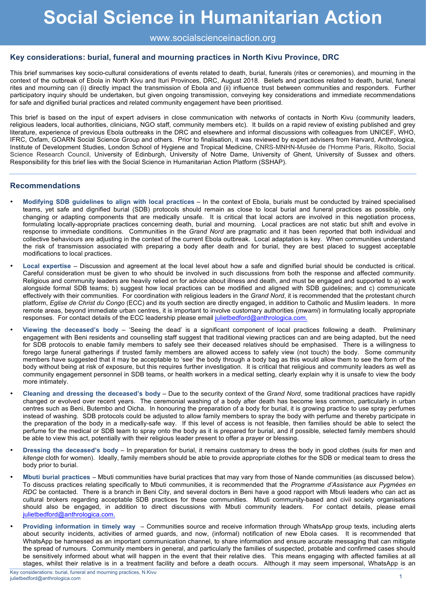# **Social Science in Humanitarian Action**

### www.socialscienceinaction.org

## **Key considerations: burial, funeral and mourning practices in North Kivu Province, DRC**

This brief summarises key socio-cultural considerations of events related to death, burial, funerals (rites or ceremonies), and mourning in the context of the outbreak of Ebola in North Kivu and Ituri Provinces, DRC, August 2018. Beliefs and practices related to death, burial, funeral rites and mourning can (i) directly impact the transmission of Ebola and (ii) influence trust between communities and responders. Further participatory inquiry should be undertaken, but given ongoing transmission, conveying key considerations and immediate recommendations for safe and dignified burial practices and related community engagement have been prioritised.

This brief is based on the input of expert advisers in close communication with networks of contacts in North Kivu (community leaders, religious leaders, local authorities, clinicians, NGO staff, community members etc). It builds on a rapid review of existing published and grey literature, experience of previous Ebola outbreaks in the DRC and elsewhere and informal discussions with colleagues from UNICEF, WHO, IFRC, Oxfam, GOARN Social Science Group and others. Prior to finalisation, it was reviewed by expert advisers from Harvard, Anthrologica, Institute of Development Studies, London School of Hygiene and Tropical Medicine, CNRS-MNHN-Musée de l'Homme Paris, Rikolto, Social Science Research Council, University of Edinburgh, University of Notre Dame, University of Ghent, University of Sussex and others. Responsibility for this brief lies with the Social Science in Humanitarian Action Platform (SSHAP).

#### **Recommendations**

- **Modifying SDB guidelines to align with local practices** In the context of Ebola, burials must be conducted by trained specialised teams, yet safe and dignified burial (SDB) protocols should remain as close to local burial and funeral practices as possible, only changing or adapting components that are medically unsafe. It is critical that local actors are involved in this negotiation process, formulating locally-appropriate practices concerning death, burial and mourning. Local practices are not static but shift and evolve in response to immediate conditions. Communities in the *Grand Nord* are pragmatic and it has been reported that both individual and collective behaviours are adjusting in the context of the current Ebola outbreak. Local adaptation is key. When communities understand the risk of transmission associated with preparing a body after death and for burial, they are best placed to suggest acceptable modifications to local practices.
- **Local expertise** Discussion and agreement at the local level about how a safe and dignified burial should be conducted is critical. Careful consideration must be given to who should be involved in such discussions from both the response and affected community. Religious and community leaders are heavily relied on for advice about illness and death, and must be engaged and supported to a) work alongside formal SDB teams; b) suggest how local practices can be modified and aligned with SDB guidelines; and c) communicate effectively with their communities. For coordination with religious leaders in the *Grand Nord*, it is recommended that the protestant church platform, *Eglise de Christ du Congo* (ECC) and its youth section are directly engaged, in addition to Catholic and Muslim leaders. In more remote areas, beyond immediate urban centres, it is important to involve customary authorities (*mwami*) in formulating locally appropriate responses. For contact details of the ECC leadership please email julietbedford@anthrologica.com.
- **Viewing the deceased's body** 'Seeing the dead' is a significant component of local practices following a death. Preliminary engagement with Beni residents and counselling staff suggest that traditional viewing practices can and are being adapted, but the need for SDB protocols to enable family members to safely see their deceased relatives should be emphasised. There is a willingness to forego large funeral gatherings if trusted family members are allowed access to safely view (not touch) the body. Some community members have suggested that it may be acceptable to 'see' the body through a body bag as this would allow them to see the form of the body without being at risk of exposure, but this requires further investigation. It is critical that religious and community leaders as well as community engagement personnel in SDB teams, or health workers in a medical setting, clearly explain why it is unsafe to view the body more intimately.
- **Cleaning and dressing the deceased's body** Due to the security context of the *Grand Nord*, some traditional practices have rapidly changed or evolved over recent years. The ceremonial washing of a body after death has become less common, particularly in urban centres such as Beni, Butembo and Oicha. In honouring the preparation of a body for burial, it is growing practice to use spray perfumes instead of washing. SDB protocols could be adjusted to allow family members to spray the body with perfume and thereby participate in the preparation of the body in a medically-safe way. If this level of access is not feasible, then families should be able to select the perfume for the medical or SDB team to spray onto the body as it is prepared for burial, and if possible, selected family members should be able to view this act, potentially with their religious leader present to offer a prayer or blessing.
- **Dressing the deceased's body** In preparation for burial, it remains customary to dress the body in good clothes (suits for men and *kitenge* cloth for women). Ideally, family members should be able to provide appropriate clothes for the SDB or medical team to dress the body prior to burial.
- **Mbuti burial practices**  Mbuti communities have burial practices that may vary from those of Nande communities (as discussed below). To discuss practices relating specifically to Mbuti communities, it is recommended that the *Programme d'Assistance aux Pygmées en RDC* be contacted. There is a branch in Beni City, and several doctors in Beni have a good rapport with Mbuti leaders who can act as cultural brokers regarding acceptable SDB practices for these communities. Mbuti community-based and civil society organisations should also be engaged, in addition to direct discussions with Mbuti community leaders. For contact details, please email julietbedford@anthrologica.com.
- **Providing information in timely way**  Communities source and receive information through WhatsApp group texts, including alerts about security incidents, activities of armed guards, and now, (informal) notification of new Ebola cases. It is recommended that WhatsApp be harnessed as an important communication channel, to share information and ensure accurate messaging that can mitigate the spread of rumours. Community members in general, and particularly the families of suspected, probable and confirmed cases should be sensitively informed about what will happen in the event that their relative dies. This means engaging with affected families at all stages, whilst their relative is in a treatment facility and before a death occurs. Although it may seem impersonal, WhatsApp is an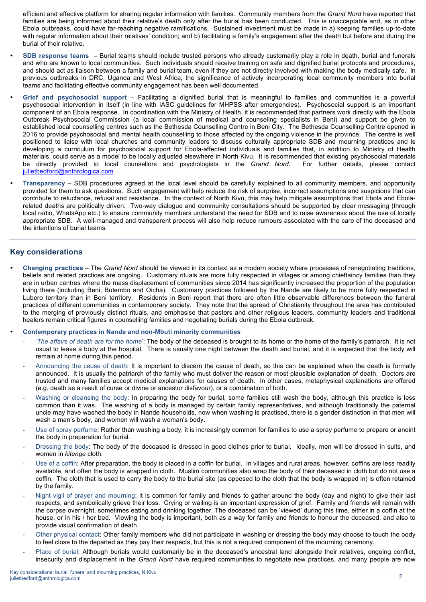efficient and effective platform for sharing regular information with families. Community members from the *Grand Nord* have reported that families are being informed about their relative's death only after the burial has been conducted. This is unacceptable and, as in other Ebola outbreaks, could have far-reaching negative ramifications. Sustained investment must be made in a) keeping families up-to-date with regular information about their relatives' condition; and b) facilitating a family's engagement after the death but before and during the burial of their relative.

- **SDB response teams** Burial teams should include trusted persons who already customarily play a role in death, burial and funerals and who are known to local communities. Such individuals should receive training on safe and dignified burial protocols and procedures, and should act as liaison between a family and burial team, even if they are not directly involved with making the body medically safe. In previous outbreaks in DRC, Uganda and West Africa, the significance of actively incorporating local community members into burial teams and facilitating effective community engagement has been well documented.
- **Grief and psychosocial support** Facilitating a dignified burial that is meaningful to families and communities is a powerful psychosocial intervention in itself (in line with IASC guidelines for MHPSS after emergencies). Psychosocial support is an important component of an Ebola response. In coordination with the Ministry of Health, it is recommended that partners work directly with the Ebola Outbreak Psychosocial Commission (a local commission of medical and counseling specialists in Beni) and support be given to established local counselling centres such as the Bethesda Counselling Centre in Beni City. The Bethesda Counselling Centre opened in 2016 to provide psychosocial and mental health counselling to those affected by the ongoing violence in the province. The centre is well positioned to liaise with local churches and community leaders to discuss culturally appropriate SDB and mourning practices and is developing a curriculum for psychosocial support for Ebola-affected individuals and families that, in addition to Ministry of Health materials, could serve as a model to be locally adjusted elsewhere in North Kivu. It is recommended that existing psychosocial materials be directly provided to local counsellors and psychologists in the *Grand Nord*. For further details, please contact julietbedford@anthrologica.com
- **Transparency** SDB procedures agreed at the local level should be carefully explained to all community members, and opportunity provided for them to ask questions. Such engagement will help reduce the risk of surprise, incorrect assumptions and suspicions that can contribute to reluctance, refusal and resistance. In the context of North Kivu, this may help mitigate assumptions that Ebola and Ebolarelated deaths are politically driven. Two-way dialogue and community consultations should be supported by clear messaging (through local radio, WhatsApp etc.) to ensure community members understand the need for SDB and to raise awareness about the use of locally appropriate SDB. A well-managed and transparent process will also help reduce rumours associated with the care of the deceased and the intentions of burial teams.

#### **Key considerations**

- **Changing practices** The *Grand Nord* should be viewed in its context as a modern society where processes of renegotiating traditions, beliefs and related practices are ongoing. Customary rituals are more fully respected in villages or among chieftaincy families than they are in urban centres where the mass displacement of communities since 2014 has significantly increased the proportion of the population living there (including Beni, Butembo and Oicha). Customary practices followed by the Nande are likely to be more fully respected in Lubero territory than in Beni territory. Residents in Beni report that there are often little observable differences between the funeral practices of different communities in contemporary society. They note that the spread of Christianity throughout the area has contributed to the merging of previously distinct rituals, and emphasise that pastors and other religious leaders, community leaders and traditional healers remain critical figures in counselling families and negotiating burials during the Ebola outbreak.
- **Contemporary practices in Nande and non-Mbuti minority communities**
	- *'The affairs of death are for the home*': The body of the deceased is brought to its home or the home of the family's patriarch. It is not usual to leave a body at the hospital. There is usually one night between the death and burial, and it is expected that the body will remain at home during this period.
	- Announcing the cause of death: It is important to discern the cause of death, so this can be explained when the death is formally announced. It is usually the patriarch of the family who must deliver the reason or most plausible explanation of death. Doctors are trusted and many families accept medical explanations for causes of death. In other cases, metaphysical explanations are offered (e.g. death as a result of curse or divine or ancestor disfavour), or a combination of both.
	- Washing or cleansing the body: In preparing the body for burial, some families still wash the body, although this practice is less common than it was. The washing of a body is managed by certain family representatives, and although traditionally the paternal uncle may have washed the body in Nande households, now when washing is practised, there is a gender distinction in that men will wash a man's body, and women will wash a woman's body.
	- Use of spray perfume: Rather than washing a body, it is increasingly common for families to use a spray perfume to prepare or anoint the body in preparation for burial.
	- Dressing the body: The body of the deceased is dressed in good clothes prior to burial. Ideally, men will be dressed in suits, and women in *kitenge* cloth.
	- Use of a coffin: After preparation, the body is placed in a coffin for burial. In villages and rural areas, however, coffins are less readily available, and often the body is wrapped in cloth. Muslim communities also wrap the body of their deceased in cloth but do not use a coffin. The cloth that is used to carry the body to the burial site (as opposed to the cloth that the body is wrapped in) is often retained by the family.
	- Night vigil of prayer and mourning: It is common for family and friends to gather around the body (day and night) to give their last respects, and symbolically grieve their loss. Crying or wailing is an important expression of grief. Family and friends will remain with the corpse overnight, sometimes eating and drinking together. The deceased can be 'viewed' during this time, either in a coffin at the house, or in his / her bed. Viewing the body is important, both as a way for family and friends to honour the deceased, and also to provide visual confirmation of death.
	- Other physical contact: Other family members who did not participate in washing or dressing the body may choose to touch the body to feel close to the departed as they pay their respects, but this is not a required component of the mourning ceremony.
	- Place of burial: Although burials would customarily be in the deceased's ancestral land alongside their relatives, ongoing conflict, insecurity and displacement in the *Grand Nord* have required communities to negotiate new practices, and many people are now